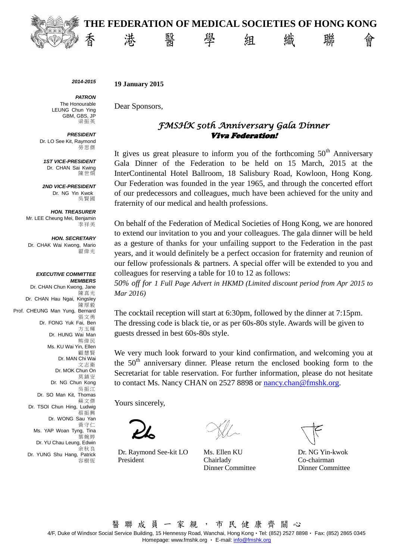

*2014-2015*

**19 January 2015**

*PATRON* The Honourable LEUNG Chun Ying GBM, GBS, JP 梁振英

*PRESIDENT* Dr. LO See Kit, Raymond 勞思傑

*1ST VICE-PRESIDENT* Dr. CHAN Sai Kwing 陳世烱

*2ND VICE-PRESIDENT* Dr. NG Yin Kwok 吳賢國

*HON. TREASURER* Mr. LEE Cheung Mei, Benjamin 李祥美

*HON. SECRETARY* Dr. CHAK Wai Kwong, Mario 翟偉光

*EXECUTIVE COMMITTEE MEMBERS* Dr. CHAN Chun Kwong, Jane 陳真光 Dr. CHAN Hau Ngai, Kingsley 陳厚毅 Prof. CHEUNG Man Yung, Bernard 張文勇 Dr. FONG Yuk Fai, Ben 方玉輝 Dr. HUNG Wai Man 熊偉民 Ms. KU Wai Yin, Ellen 顧慧賢 Dr. MAN Chi Wai 文志衛 Dr. MOK Chun On 莫鎮安 Dr. NG Chun Kong 吳振江 Dr. SO Man Kit, Thomas 蘇文傑 Dr. TSOI Chun Hing, Ludwig 蔡振興 Dr. WONG Sau Yan 黃守仁 Ms. YAP Woan Tyng, Tina 葉婉婷 Dr. YU Chau Leung, Edwin 余秋良 Dr. YUNG Shu Hang, Patrick 容樹恆

Dear Sponsors,

## *FMSHK 50th Anniversary Gala Dinner*  Viva Federation!

It gives us great pleasure to inform you of the forthcoming  $50<sup>th</sup>$  Anniversary Gala Dinner of the Federation to be held on 15 March, 2015 at the InterContinental Hotel Ballroom, 18 Salisbury Road, Kowloon, Hong Kong. Our Federation was founded in the year 1965, and through the concerted effort of our predecessors and colleagues, much have been achieved for the unity and fraternity of our medical and health professions.

On behalf of the Federation of Medical Societies of Hong Kong, we are honored to extend our invitation to you and your colleagues. The gala dinner will be held as a gesture of thanks for your unfailing support to the Federation in the past years, and it would definitely be a perfect occasion for fraternity and reunion of our fellow professionals & partners. A special offer will be extended to you and colleagues for reserving a table for 10 to 12 as follows:

*50% off for 1 Full Page Advert in HKMD (Limited discount period from Apr 2015 to Mar 2016)*

The cocktail reception will start at 6:30pm, followed by the dinner at 7:15pm. The dressing code is black tie, or as per 60s-80s style. Awards will be given to guests dressed in best 60s-80s style.

We very much look forward to your kind confirmation, and welcoming you at the  $50<sup>th</sup>$  anniversary dinner. Please return the enclosed booking form to the Secretariat for table reservation. For further information, please do not hesitate to contact Ms. Nancy CHAN on 2527 8898 or [nancy.chan@fmshk.org.](mailto:nancy.chan@fmshk.org)

Yours sincerely,

Dr. Raymond See-kit LO Ms. Ellen KU Dr. NG Yin-kwok President Chairlady

Dinner Committee

Co-chairman Dinner Committee

醫 聯 成 員 一 家 親 , 市 民 健 康 齊 關 心 4/F, Duke of Windsor Social Service Building, 15 Hennessy Road, Wanchai, Hong Kong‧Tel: (852) 2527 8898‧ Fax: (852) 2865 0345 Homepage[: www.fmshk.org](http://www.fmshk.org/) • E-mail[: info@fmshk.org](mailto:info@fmshk.org)